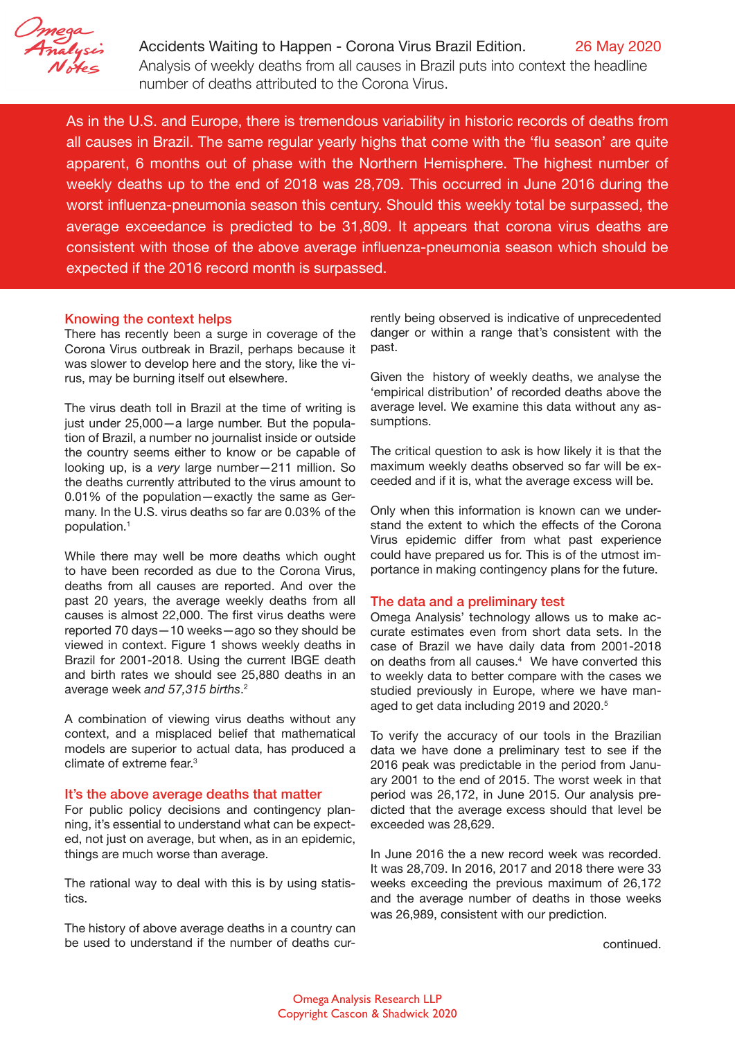

[A](http://www.OmegaAnalysis.com)ccidents Waiting to Happen - Corona Virus Brazil Edition. 26 May 2020 Analysis of weekly deaths from all causes in Brazil puts into context the headline number of deaths attributed to the Corona Virus.

As in the U.S. and Europe, there is tremendous variability in historic records of deaths from all causes in Brazil. The same regular yearly highs that come with the 'flu season' are quite apparent, 6 months out of phase with the Northern Hemisphere. The highest number of weekly deaths up to the end of 2018 was 28,709. This occurred in June 2016 during the worst influenza-pneumonia season this century. Should this weekly total be surpassed, the average exceedance is predicted to be 31,809. It appears that corona virus deaths are consistent with those of the above average influenza-pneumonia season which should be expected if the 2016 record month is surpassed.

# Knowing the context helps

There has recently been a surge in coverage of the Corona Virus outbreak in Brazil, perhaps because it was slower to develop here and the story, like the virus, may be burning itself out elsewhere.

The virus death toll in Brazil at the time of writing is just under 25,000—a large number. But the population of Brazil, a number no journalist inside or outside the country seems either to know or be capable of looking up, is a *very* large number—211 million. So the deaths currently attributed to the virus amount to 0.01% of the population—exactly the same as Germany. In the U.S. virus deaths so far are 0.03% of the population.1

While there may well be more deaths which ought to have been recorded as due to the Corona Virus, deaths from all causes are reported. And over the past 20 years, the average weekly deaths from all causes is almost 22,000. The first virus deaths were reported 70 days—10 weeks—ago so they should be viewed in context. Figure 1 shows weekly deaths in Brazil for 2001-2018. Using the current IBGE death and birth rates we should see 25,880 deaths in an average week *and 57,315 births*. 2

A combination of viewing virus deaths without any context, and a misplaced belief that mathematical models are superior to actual data, has produced a climate of extreme fear.3

#### It's the above average deaths that matter

For public policy decisions and contingency planning, it's essential to understand what can be expected, not just on average, but when, as in an epidemic, things are much worse than average.

The rational way to deal with this is by using statistics.

The history of above average deaths in a country can be used to understand if the number of deaths currently being observed is indicative of unprecedented danger or within a range that's consistent with the past.

Given the history of weekly deaths, we analyse the 'empirical distribution' of recorded deaths above the average level. We examine this data without any assumptions.

The critical question to ask is how likely it is that the maximum weekly deaths observed so far will be exceeded and if it is, what the average excess will be.

Only when this information is known can we understand the extent to which the effects of the Corona Virus epidemic differ from what past experience could have prepared us for. This is of the utmost importance in making contingency plans for the future.

### The data and a preliminary test

Omega Analysis' technology allows us to make accurate estimates even from short data sets. In the case of Brazil we have daily data from 2001-2018 on deaths from all causes.4 We have converted this to weekly data to better compare with the cases we studied previously in Europe, where we have managed to get data including 2019 and 2020.<sup>5</sup>

To verify the accuracy of our tools in the Brazilian data we have done a preliminary test to see if the 2016 peak was predictable in the period from January 2001 to the end of 2015. The worst week in that period was 26,172, in June 2015. Our analysis predicted that the average excess should that level be exceeded was 28,629.

In June 2016 the a new record week was recorded. It was 28,709. In 2016, 2017 and 2018 there were 33 weeks exceeding the previous maximum of 26,172 and the average number of deaths in those weeks was 26,989, consistent with our prediction.

continued.